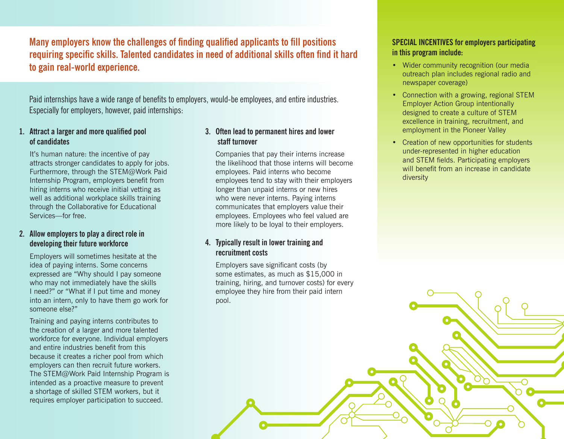**Many employers know the challenges of finding qualified applicants to fill positions requiring specific skills. Talented candidates in need of additional skills often find it hard to gain real-world experience.** 

Paid internships have a wide range of benefits to employers, would-be employees, and entire industries. Especially for employers, however, paid internships:

### **1. Attract a larger and more qualified pool of candidates**

It's human nature: the incentive of pay attracts stronger candidates to apply for jobs. Furthermore, through the STEM@Work Paid Internship Program, employers benefit from hiring interns who receive initial vetting as well as additional workplace skills training through the Collaborative for Educational Services—for free.

#### **2. Allow employers to play a direct role in developing their future workforce**

Employers will sometimes hesitate at the idea of paying interns. Some concerns expressed are "Why should I pay someone who may not immediately have the skills I need?" or "What if I put time and money into an intern, only to have them go work for someone else?"

Training and paying interns contributes to the creation of a larger and more talented workforce for everyone. Individual employers and entire industries benefit from this because it creates a richer pool from which employers can then recruit future workers. The STEM@Work Paid Internship Program is intended as a proactive measure to prevent a shortage of skilled STEM workers, but it requires employer participation to succeed.

# **3. Often lead to permanent hires and lower staff turnover**

Companies that pay their interns increase the likelihood that those interns will become employees. Paid interns who become employees tend to stay with their employers longer than unpaid interns or new hires who were never interns. Paying interns communicates that employers value their employees. Employees who feel valued are more likely to be loyal to their employers.

#### **4. Typically result in lower training and recruitment costs**

Employers save significant costs (by some estimates, as much as \$15,000 in training, hiring, and turnover costs) for every employee they hire from their paid intern pool.

## **SPECIAL INCENTIVES for employers participating in this program include:**

- Wider community recognition (our media outreach plan includes regional radio and newspaper coverage)
- Connection with a growing, regional STEM Employer Action Group intentionally designed to create a culture of STEM excellence in training, recruitment, and employment in the Pioneer Valley
- Creation of new opportunities for students under-represented in higher education and STEM fields. Participating employers will benefit from an increase in candidate diversity